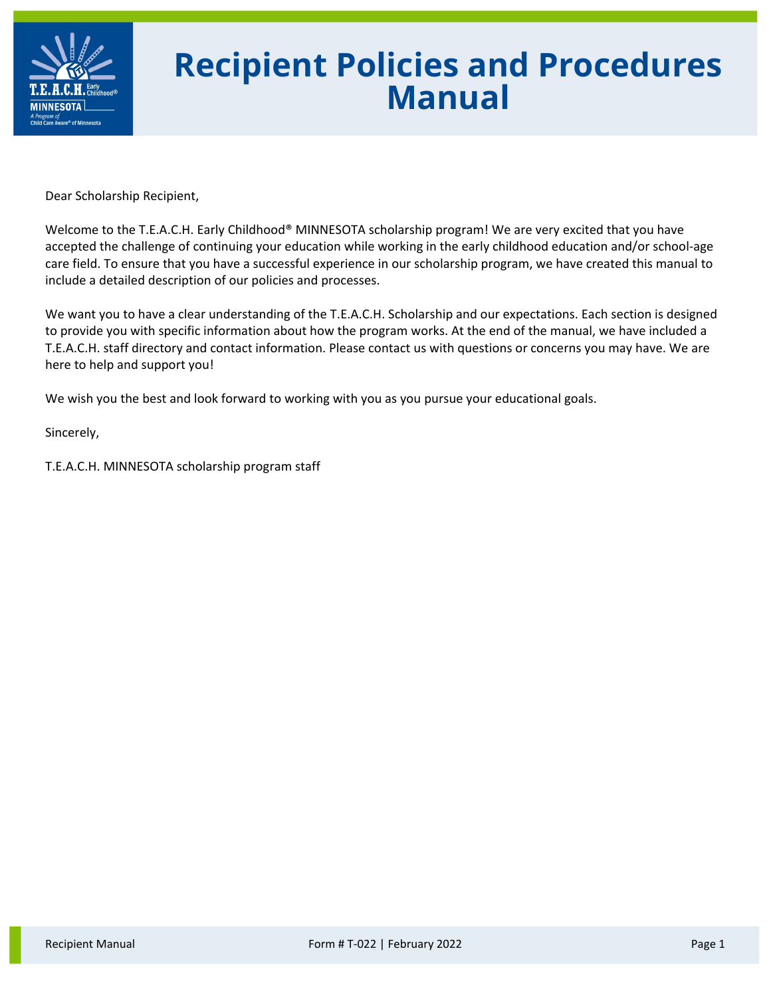

# **Recipient Policies and Procedures Manual**

Dear Scholarship Recipient,

Welcome to the T.E.A.C.H. Early Childhood® MINNESOTA scholarship program! We are very excited that you have accepted the challenge of continuing your education while working in the early childhood education and/or school-age care field. To ensure that you have a successful experience in our scholarship program, we have created this manual to include a detailed description of our policies and processes.

We want you to have a clear understanding of the T.E.A.C.H. Scholarship and our expectations. Each section is designed to provide you with specific information about how the program works. At the end of the manual, we have included a T.E.A.C.H. staff directory and contact information. Please contact us with questions or concerns you may have. We are here to help and support you!

We wish you the best and look forward to working with you as you pursue your educational goals.

Sincerely,

T.E.A.C.H. MINNESOTA scholarship program staff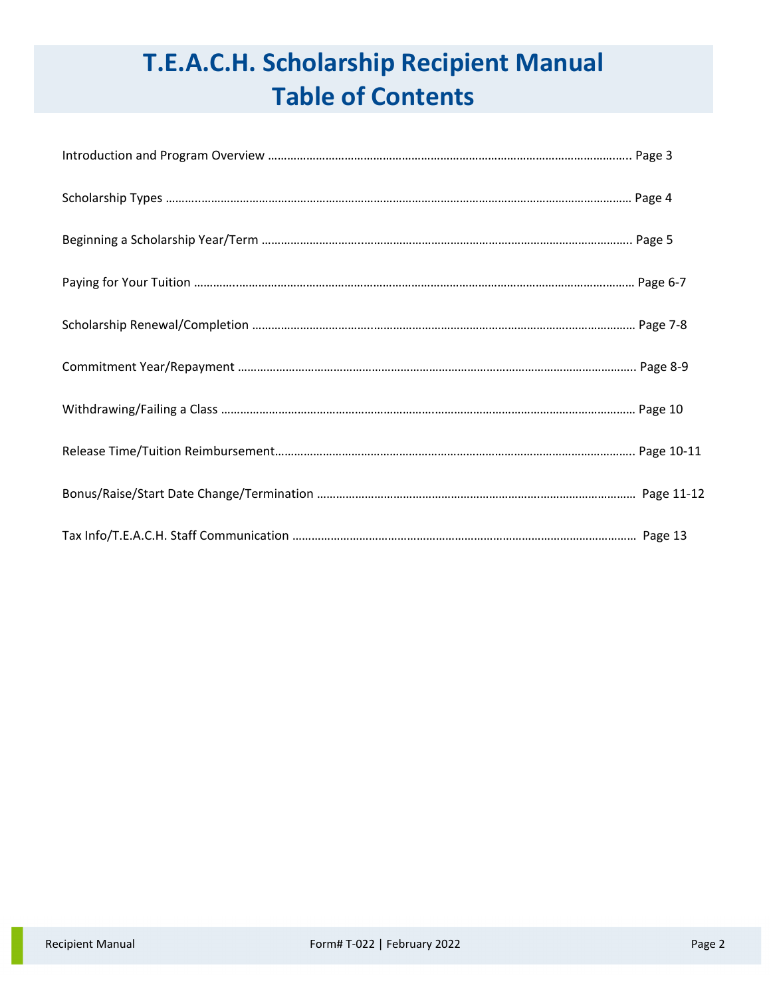# **T.E.A.C.H. Scholarship Recipient Manual Table of Contents**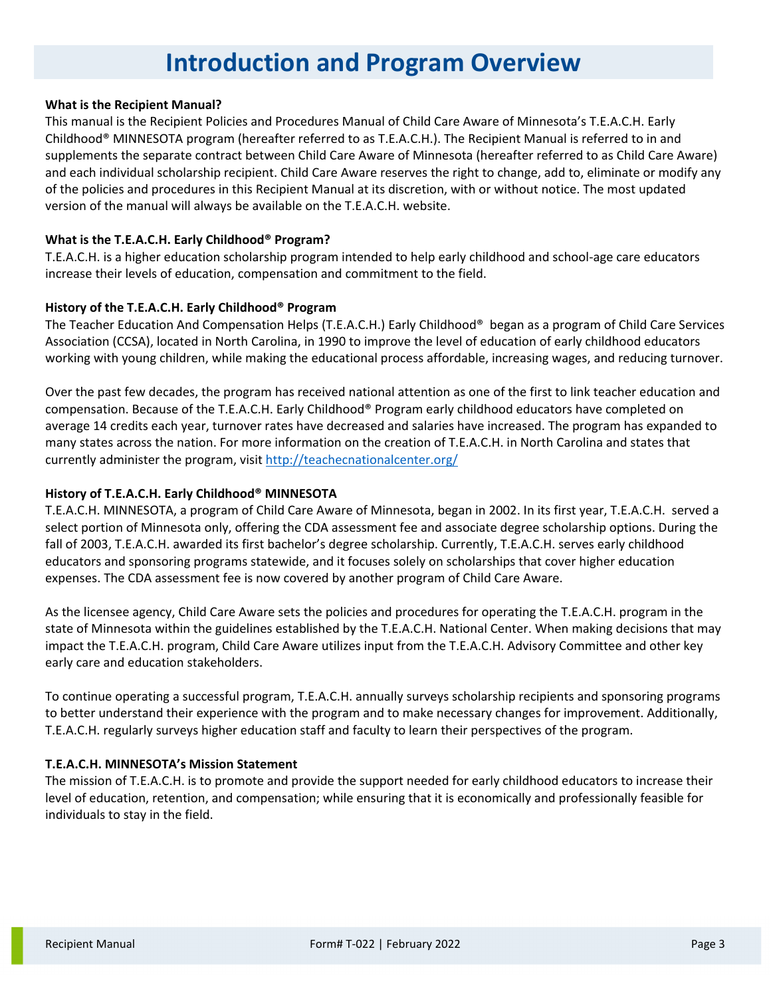# **Introduction and Program Overview**

#### **What is the Recipient Manual?**

This manual is the Recipient Policies and Procedures Manual of Child Care Aware of Minnesota's T.E.A.C.H. Early Childhood® MINNESOTA program (hereafter referred to as T.E.A.C.H.). The Recipient Manual is referred to in and supplements the separate contract between Child Care Aware of Minnesota (hereafter referred to as Child Care Aware) and each individual scholarship recipient. Child Care Aware reserves the right to change, add to, eliminate or modify any of the policies and procedures in this Recipient Manual at its discretion, with or without notice. The most updated version of the manual will always be available on the T.E.A.C.H. website.

#### **What is the T.E.A.C.H. Early Childhood® Program?**

T.E.A.C.H. is a higher education scholarship program intended to help early childhood and school-age care educators increase their levels of education, compensation and commitment to the field.

#### **History of the T.E.A.C.H. Early Childhood® Program**

The Teacher Education And Compensation Helps (T.E.A.C.H.) Early Childhood® began as a program of Child Care Services Association (CCSA), located in North Carolina, in 1990 to improve the level of education of early childhood educators working with young children, while making the educational process affordable, increasing wages, and reducing turnover.

Over the past few decades, the program has received national attention as one of the first to link teacher education and compensation. Because of the T.E.A.C.H. Early Childhood® Program early childhood educators have completed on average 14 credits each year, turnover rates have decreased and salaries have increased. The program has expanded to many states across the nation. For more information on the creation of T.E.A.C.H. in North Carolina and states that currently administer the program, visit<http://teachecnationalcenter.org/>

### **History of T.E.A.C.H. Early Childhood® MINNESOTA**

T.E.A.C.H. MINNESOTA, a program of Child Care Aware of Minnesota, began in 2002. In its first year, T.E.A.C.H. served a select portion of Minnesota only, offering the CDA assessment fee and associate degree scholarship options. During the fall of 2003, T.E.A.C.H. awarded its first bachelor's degree scholarship. Currently, T.E.A.C.H. serves early childhood educators and sponsoring programs statewide, and it focuses solely on scholarships that cover higher education expenses. The CDA assessment fee is now covered by another program of Child Care Aware.

As the licensee agency, Child Care Aware sets the policies and procedures for operating the T.E.A.C.H. program in the state of Minnesota within the guidelines established by the T.E.A.C.H. National Center. When making decisions that may impact the T.E.A.C.H. program, Child Care Aware utilizes input from the T.E.A.C.H. Advisory Committee and other key early care and education stakeholders.

To continue operating a successful program, T.E.A.C.H. annually surveys scholarship recipients and sponsoring programs to better understand their experience with the program and to make necessary changes for improvement. Additionally, T.E.A.C.H. regularly surveys higher education staff and faculty to learn their perspectives of the program.

#### **T.E.A.C.H. MINNESOTA's Mission Statement**

The mission of T.E.A.C.H. is to promote and provide the support needed for early childhood educators to increase their level of education, retention, and compensation; while ensuring that it is economically and professionally feasible for individuals to stay in the field.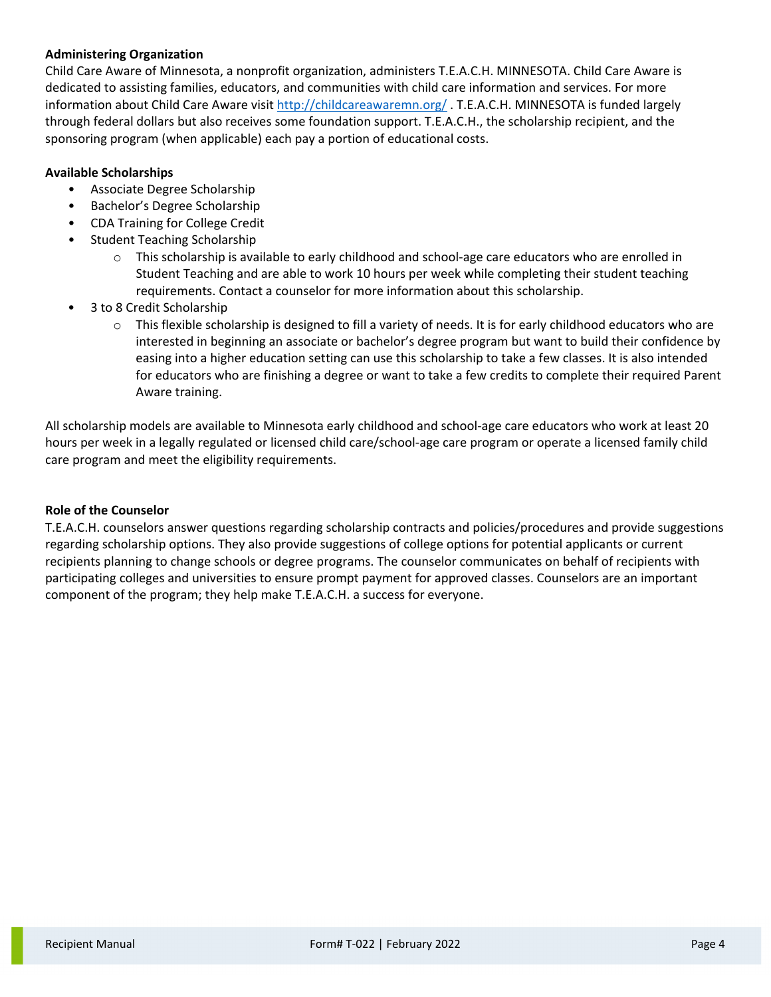# **Administering Organization**

Child Care Aware of Minnesota, a nonprofit organization, administers T.E.A.C.H. MINNESOTA. Child Care Aware is dedicated to assisting families, educators, and communities with child care information and services. For more information about Child Care Aware visit<http://childcareawaremn.org/> . T.E.A.C.H. MINNESOTA is funded largely through federal dollars but also receives some foundation support. T.E.A.C.H., the scholarship recipient, and the sponsoring program (when applicable) each pay a portion of educational costs.

# **Available Scholarships**

- Associate Degree Scholarship
- Bachelor's Degree Scholarship
- CDA Training for College Credit
- Student Teaching Scholarship
	- $\circ$  This scholarship is available to early childhood and school-age care educators who are enrolled in Student Teaching and are able to work 10 hours per week while completing their student teaching requirements. Contact a counselor for more information about this scholarship.
- 3 to 8 Credit Scholarship
	- $\circ$  This flexible scholarship is designed to fill a variety of needs. It is for early childhood educators who are interested in beginning an associate or bachelor's degree program but want to build their confidence by easing into a higher education setting can use this scholarship to take a few classes. It is also intended for educators who are finishing a degree or want to take a few credits to complete their required Parent Aware training.

All scholarship models are available to Minnesota early childhood and school-age care educators who work at least 20 hours per week in a legally regulated or licensed child care/school-age care program or operate a licensed family child care program and meet the eligibility requirements.

### **Role of the Counselor**

T.E.A.C.H. counselors answer questions regarding scholarship contracts and policies/procedures and provide suggestions regarding scholarship options. They also provide suggestions of college options for potential applicants or current recipients planning to change schools or degree programs. The counselor communicates on behalf of recipients with participating colleges and universities to ensure prompt payment for approved classes. Counselors are an important component of the program; they help make T.E.A.C.H. a success for everyone.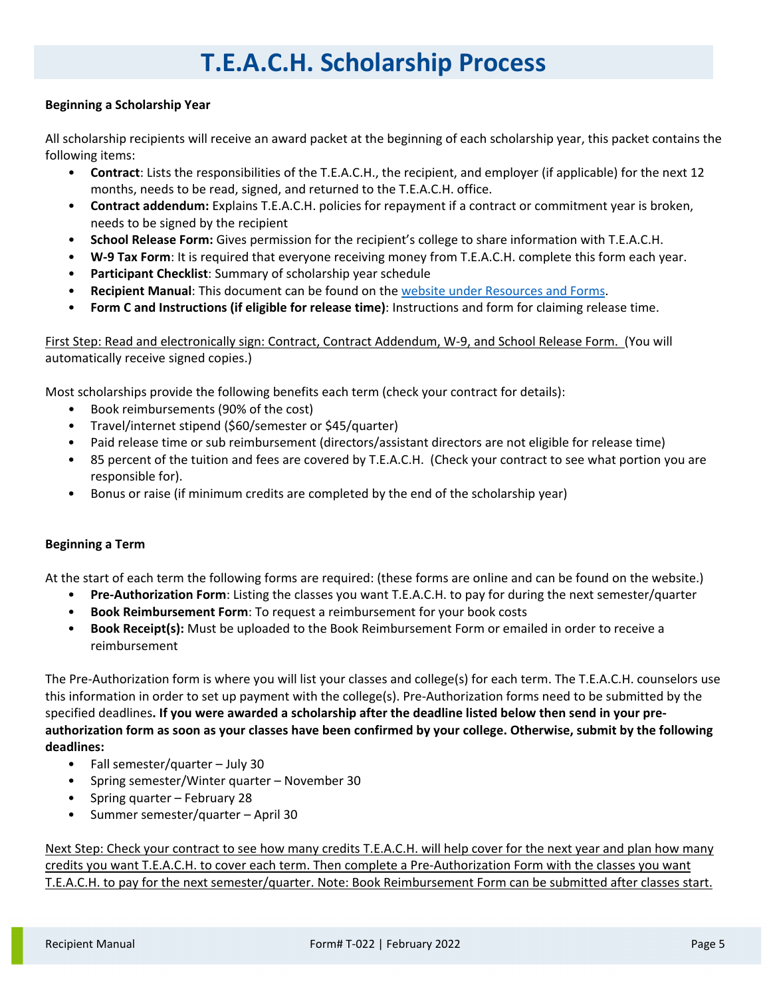# **T.E.A.C.H. Scholarship Process**

# **Beginning a Scholarship Year**

All scholarship recipients will receive an award packet at the beginning of each scholarship year, this packet contains the following items:

- **Contract**: Lists the responsibilities of the T.E.A.C.H., the recipient, and employer (if applicable) for the next 12 months, needs to be read, signed, and returned to the T.E.A.C.H. office.
- **Contract addendum:** Explains T.E.A.C.H. policies for repayment if a contract or commitment year is broken, needs to be signed by the recipient
- **School Release Form:** Gives permission for the recipient's college to share information with T.E.A.C.H.
- **W-9 Tax Form**: It is required that everyone receiving money from T.E.A.C.H. complete this form each year.
- **Participant Checklist**: Summary of scholarship year schedule
- **Recipient Manual**: This document can be found on the website [under Resources and Forms.](https://www.childcareawaremn.org/providers/grants-and-scholarships/teach-scholarships/applications-participation-agreements/)
- **Form C and Instructions (if eligible for release time)**: Instructions and form for claiming release time.

First Step: Read and electronically sign: Contract, Contract Addendum, W-9, and School Release Form. (You will automatically receive signed copies.)

Most scholarships provide the following benefits each term (check your contract for details):

- Book reimbursements (90% of the cost)
- Travel/internet stipend (\$60/semester or \$45/quarter)
- Paid release time or sub reimbursement (directors/assistant directors are not eligible for release time)
- 85 percent of the tuition and fees are covered by T.E.A.C.H. (Check your contract to see what portion you are responsible for).
- Bonus or raise (if minimum credits are completed by the end of the scholarship year)

# **Beginning a Term**

At the start of each term the following forms are required: (these forms are online and can be found on the website.)

- **Pre-Authorization Form**: Listing the classes you want T.E.A.C.H. to pay for during the next semester/quarter
- **Book Reimbursement Form**: To request a reimbursement for your book costs
- **Book Receipt(s):** Must be uploaded to the Book Reimbursement Form or emailed in order to receive a reimbursement

The Pre-Authorization form is where you will list your classes and college(s) for each term. The T.E.A.C.H. counselors use this information in order to set up payment with the college(s). Pre-Authorization forms need to be submitted by the specified deadlines**. If you were awarded a scholarship after the deadline listed below then send in your preauthorization form as soon as your classes have been confirmed by your college. Otherwise, submit by the following deadlines:** 

- Fall semester/quarter July 30
- Spring semester/Winter quarter November 30
- Spring quarter February 28
- Summer semester/quarter April 30

Next Step: Check your contract to see how many credits T.E.A.C.H. will help cover for the next year and plan how many credits you want T.E.A.C.H. to cover each term. Then complete a Pre-Authorization Form with the classes you want T.E.A.C.H. to pay for the next semester/quarter. Note: Book Reimbursement Form can be submitted after classes start.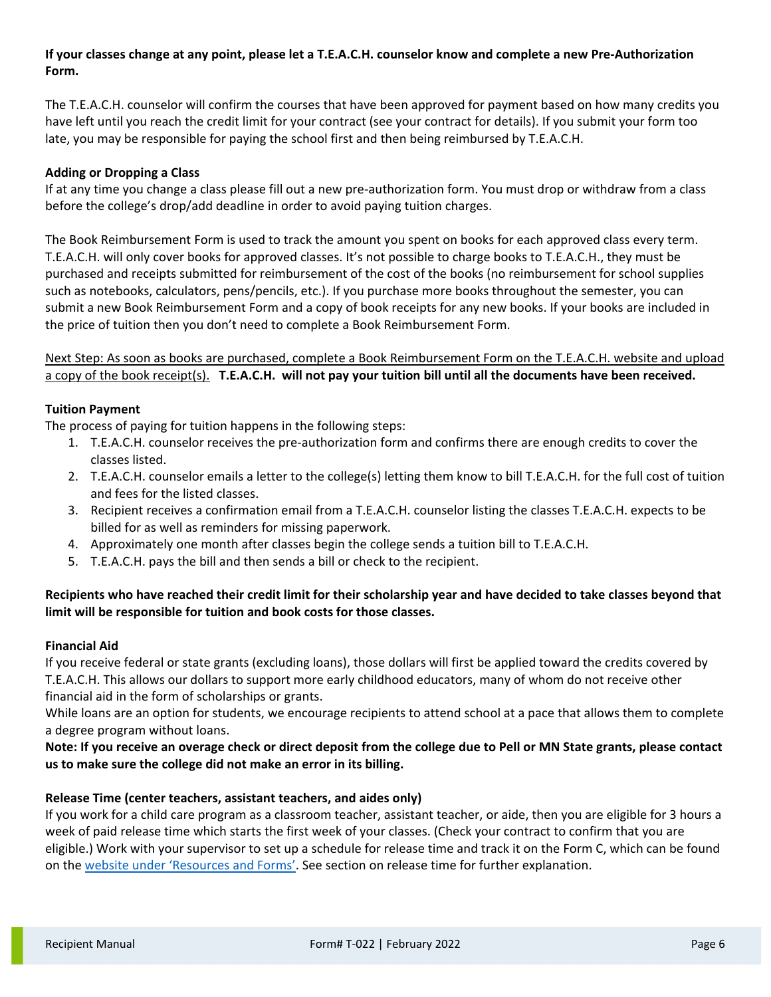# **If your classes change at any point, please let a T.E.A.C.H. counselor know and complete a new Pre-Authorization Form.**

The T.E.A.C.H. counselor will confirm the courses that have been approved for payment based on how many credits you have left until you reach the credit limit for your contract (see your contract for details). If you submit your form too late, you may be responsible for paying the school first and then being reimbursed by T.E.A.C.H.

# **Adding or Dropping a Class**

If at any time you change a class please fill out a new pre-authorization form. You must drop or withdraw from a class before the college's drop/add deadline in order to avoid paying tuition charges.

The Book Reimbursement Form is used to track the amount you spent on books for each approved class every term. T.E.A.C.H. will only cover books for approved classes. It's not possible to charge books to T.E.A.C.H., they must be purchased and receipts submitted for reimbursement of the cost of the books (no reimbursement for school supplies such as notebooks, calculators, pens/pencils, etc.). If you purchase more books throughout the semester, you can submit a new Book Reimbursement Form and a copy of book receipts for any new books. If your books are included in the price of tuition then you don't need to complete a Book Reimbursement Form.

Next Step: As soon as books are purchased, complete a Book Reimbursement Form on the T.E.A.C.H. website and upload a copy of the book receipt(s). **T.E.A.C.H. will not pay your tuition bill until all the documents have been received.**

# **Tuition Payment**

The process of paying for tuition happens in the following steps:

- 1. T.E.A.C.H. counselor receives the pre-authorization form and confirms there are enough credits to cover the classes listed.
- 2. T.E.A.C.H. counselor emails a letter to the college(s) letting them know to bill T.E.A.C.H. for the full cost of tuition and fees for the listed classes.
- 3. Recipient receives a confirmation email from a T.E.A.C.H. counselor listing the classes T.E.A.C.H. expects to be billed for as well as reminders for missing paperwork.
- 4. Approximately one month after classes begin the college sends a tuition bill to T.E.A.C.H.
- 5. T.E.A.C.H. pays the bill and then sends a bill or check to the recipient.

# **Recipients who have reached their credit limit for their scholarship year and have decided to take classes beyond that limit will be responsible for tuition and book costs for those classes.**

# **Financial Aid**

If you receive federal or state grants (excluding loans), those dollars will first be applied toward the credits covered by T.E.A.C.H. This allows our dollars to support more early childhood educators, many of whom do not receive other financial aid in the form of scholarships or grants.

While loans are an option for students, we encourage recipients to attend school at a pace that allows them to complete a degree program without loans.

# **Note: If you receive an overage check or direct deposit from the college due to Pell or MN State grants, please contact us to make sure the college did not make an error in its billing.**

# **Release Time (center teachers, assistant teachers, and aides only)**

If you work for a child care program as a classroom teacher, assistant teacher, or aide, then you are eligible for 3 hours a week of paid release time which starts the first week of your classes. (Check your contract to confirm that you are eligible.) Work with your supervisor to set up a schedule for release time and track it on the Form C, which can be found on the [website under 'Resources and Forms'.](https://www.childcareawaremn.org/providers/grants-and-scholarships/teach-scholarships/applications-participation-agreements/) See section on release time for further explanation.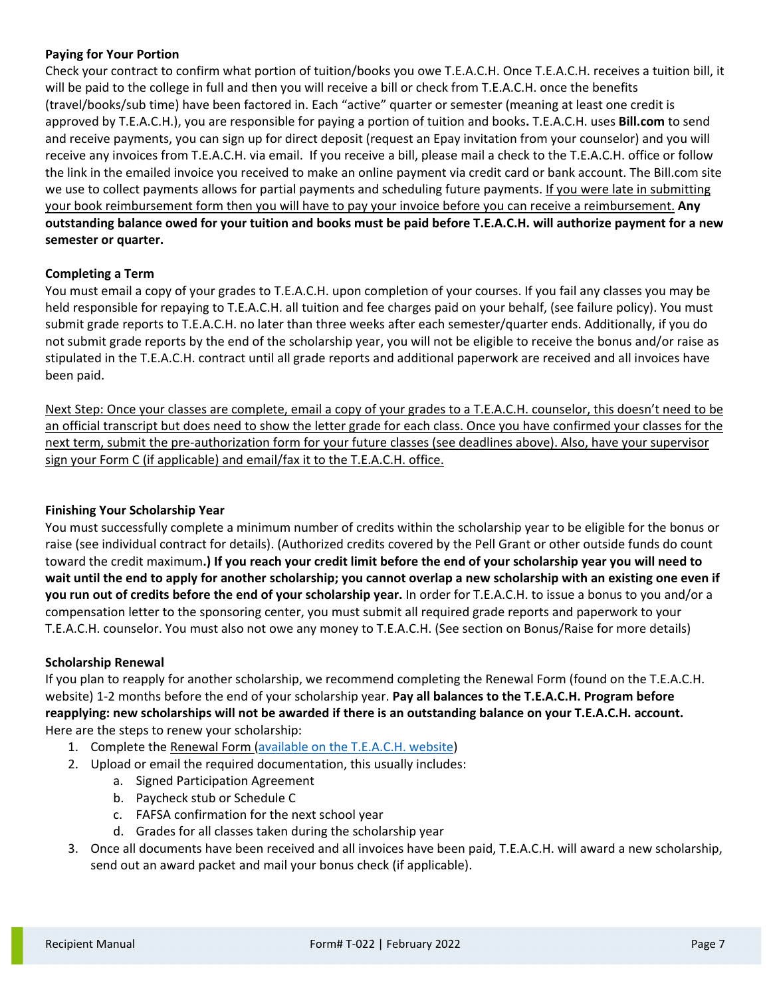# **Paying for Your Portion**

Check your contract to confirm what portion of tuition/books you owe T.E.A.C.H. Once T.E.A.C.H. receives a tuition bill, it will be paid to the college in full and then you will receive a bill or check from T.E.A.C.H. once the benefits (travel/books/sub time) have been factored in. Each "active" quarter or semester (meaning at least one credit is approved by T.E.A.C.H.), you are responsible for paying a portion of tuition and books**.** T.E.A.C.H. uses **Bill.com** to send and receive payments, you can sign up for direct deposit (request an Epay invitation from your counselor) and you will receive any invoices from T.E.A.C.H. via email. If you receive a bill, please mail a check to the T.E.A.C.H. office or follow the link in the emailed invoice you received to make an online payment via credit card or bank account. The Bill.com site we use to collect payments allows for partial payments and scheduling future payments. If you were late in submitting your book reimbursement form then you will have to pay your invoice before you can receive a reimbursement. **Any outstanding balance owed for your tuition and books must be paid before T.E.A.C.H. will authorize payment for a new semester or quarter.**

# **Completing a Term**

You must email a copy of your grades to T.E.A.C.H. upon completion of your courses. If you fail any classes you may be held responsible for repaying to T.E.A.C.H. all tuition and fee charges paid on your behalf, (see failure policy). You must submit grade reports to T.E.A.C.H. no later than three weeks after each semester/quarter ends. Additionally, if you do not submit grade reports by the end of the scholarship year, you will not be eligible to receive the bonus and/or raise as stipulated in the T.E.A.C.H. contract until all grade reports and additional paperwork are received and all invoices have been paid.

Next Step: Once your classes are complete, email a copy of your grades to a T.E.A.C.H. counselor, this doesn't need to be an official transcript but does need to show the letter grade for each class. Once you have confirmed your classes for the next term, submit the pre-authorization form for your future classes (see deadlines above). Also, have your supervisor sign your Form C (if applicable) and email/fax it to the T.E.A.C.H. office.

### **Finishing Your Scholarship Year**

You must successfully complete a minimum number of credits within the scholarship year to be eligible for the bonus or raise (see individual contract for details). (Authorized credits covered by the Pell Grant or other outside funds do count toward the credit maximum**.) If you reach your credit limit before the end of your scholarship year you will need to wait until the end to apply for another scholarship; you cannot overlap a new scholarship with an existing one even if you run out of credits before the end of your scholarship year.** In order for T.E.A.C.H. to issue a bonus to you and/or a compensation letter to the sponsoring center, you must submit all required grade reports and paperwork to your T.E.A.C.H. counselor. You must also not owe any money to T.E.A.C.H. (See section on Bonus/Raise for more details)

### **Scholarship Renewal**

If you plan to reapply for another scholarship, we recommend completing the Renewal Form (found on the T.E.A.C.H. website) 1-2 months before the end of your scholarship year. **Pay all balances to the T.E.A.C.H. Program before reapplying: new scholarships will not be awarded if there is an outstanding balance on your T.E.A.C.H. account.** Here are the steps to renew your scholarship:

- 1. Complete the Renewal Form [\(available on the T.E.A.C.H. website\)](https://www.childcareawaremn.org/providers/grants-and-scholarships/teach-scholarships/applications-participation-agreements/)
- 2. Upload or email the required documentation, this usually includes:
	- a. Signed Participation Agreement
	- b. Paycheck stub or Schedule C
	- c. FAFSA confirmation for the next school year
	- d. Grades for all classes taken during the scholarship year
- 3. Once all documents have been received and all invoices have been paid, T.E.A.C.H. will award a new scholarship, send out an award packet and mail your bonus check (if applicable).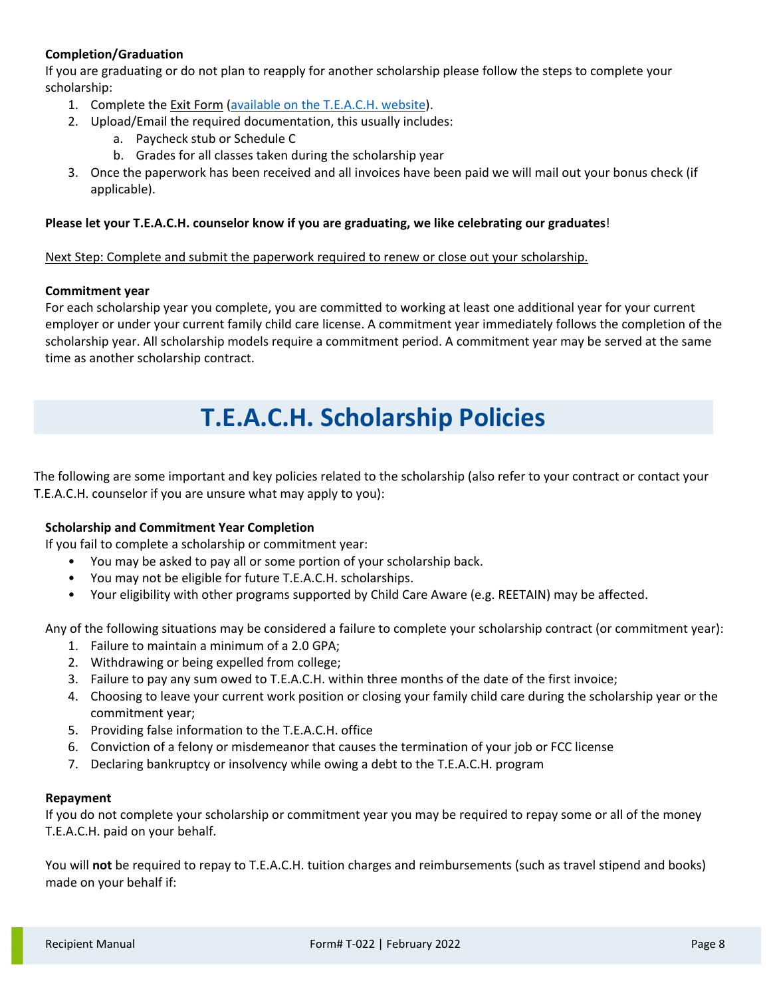# **Completion/Graduation**

If you are graduating or do not plan to reapply for another scholarship please follow the steps to complete your scholarship:

- 1. Complete the Exit Form [\(available on the T.E.A.C.H. website\)](https://www.childcareawaremn.org/providers/grants-and-scholarships/teach-scholarships/applications-participation-agreements/).
- 2. Upload/Email the required documentation, this usually includes:
	- a. Paycheck stub or Schedule C
	- b. Grades for all classes taken during the scholarship year
- 3. Once the paperwork has been received and all invoices have been paid we will mail out your bonus check (if applicable).

# **Please let your T.E.A.C.H. counselor know if you are graduating, we like celebrating our graduates**!

# Next Step: Complete and submit the paperwork required to renew or close out your scholarship.

# **Commitment year**

For each scholarship year you complete, you are committed to working at least one additional year for your current employer or under your current family child care license. A commitment year immediately follows the completion of the scholarship year. All scholarship models require a commitment period. A commitment year may be served at the same time as another scholarship contract.

# **T.E.A.C.H. Scholarship Policies**

The following are some important and key policies related to the scholarship (also refer to your contract or contact your T.E.A.C.H. counselor if you are unsure what may apply to you):

# **Scholarship and Commitment Year Completion**

If you fail to complete a scholarship or commitment year:

- You may be asked to pay all or some portion of your scholarship back.
- You may not be eligible for future T.E.A.C.H. scholarships.
- Your eligibility with other programs supported by Child Care Aware (e.g. REETAIN) may be affected.

Any of the following situations may be considered a failure to complete your scholarship contract (or commitment year):

- 1. Failure to maintain a minimum of a 2.0 GPA;
- 2. Withdrawing or being expelled from college;
- 3. Failure to pay any sum owed to T.E.A.C.H. within three months of the date of the first invoice;
- 4. Choosing to leave your current work position or closing your family child care during the scholarship year or the commitment year;
- 5. Providing false information to the T.E.A.C.H. office
- 6. Conviction of a felony or misdemeanor that causes the termination of your job or FCC license
- 7. Declaring bankruptcy or insolvency while owing a debt to the T.E.A.C.H. program

### **Repayment**

If you do not complete your scholarship or commitment year you may be required to repay some or all of the money T.E.A.C.H. paid on your behalf.

You will **not** be required to repay to T.E.A.C.H. tuition charges and reimbursements (such as travel stipend and books) made on your behalf if: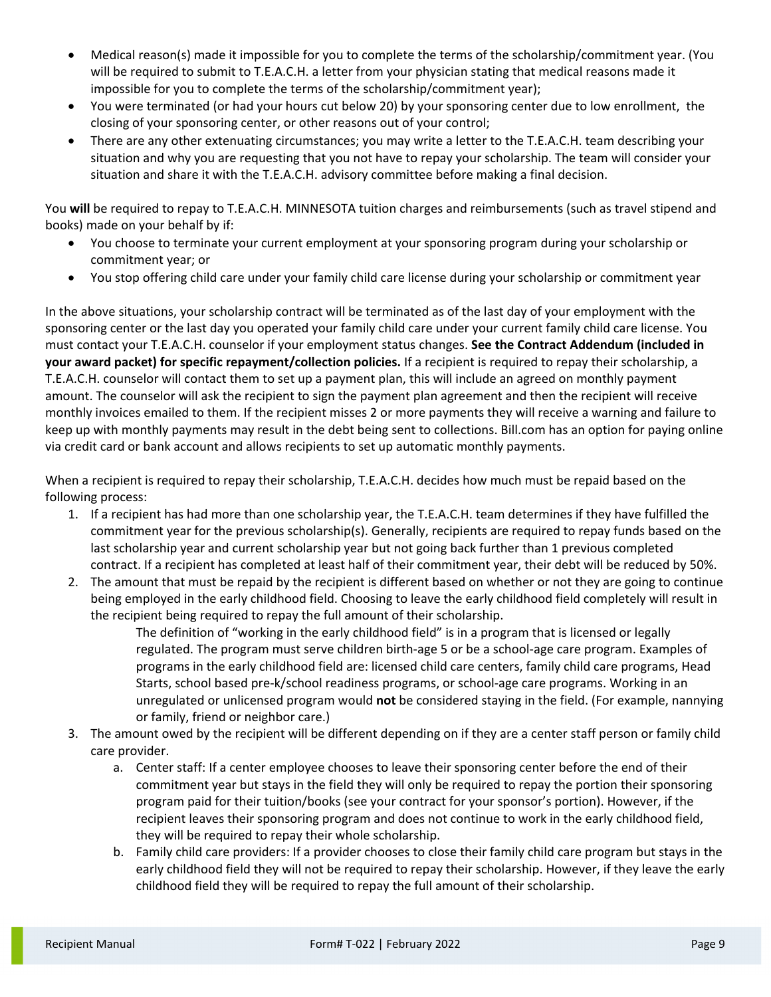- Medical reason(s) made it impossible for you to complete the terms of the scholarship/commitment year. (You will be required to submit to T.E.A.C.H. a letter from your physician stating that medical reasons made it impossible for you to complete the terms of the scholarship/commitment year);
- You were terminated (or had your hours cut below 20) by your sponsoring center due to low enrollment, the closing of your sponsoring center, or other reasons out of your control;
- There are any other extenuating circumstances; you may write a letter to the T.E.A.C.H. team describing your situation and why you are requesting that you not have to repay your scholarship. The team will consider your situation and share it with the T.E.A.C.H. advisory committee before making a final decision.

You **will** be required to repay to T.E.A.C.H. MINNESOTA tuition charges and reimbursements (such as travel stipend and books) made on your behalf by if:

- You choose to terminate your current employment at your sponsoring program during your scholarship or commitment year; or
- You stop offering child care under your family child care license during your scholarship or commitment year

In the above situations, your scholarship contract will be terminated as of the last day of your employment with the sponsoring center or the last day you operated your family child care under your current family child care license. You must contact your T.E.A.C.H. counselor if your employment status changes. **See the Contract Addendum (included in your award packet) for specific repayment/collection policies.** If a recipient is required to repay their scholarship, a T.E.A.C.H. counselor will contact them to set up a payment plan, this will include an agreed on monthly payment amount. The counselor will ask the recipient to sign the payment plan agreement and then the recipient will receive monthly invoices emailed to them. If the recipient misses 2 or more payments they will receive a warning and failure to keep up with monthly payments may result in the debt being sent to collections. Bill.com has an option for paying online via credit card or bank account and allows recipients to set up automatic monthly payments.

When a recipient is required to repay their scholarship, T.E.A.C.H. decides how much must be repaid based on the following process:

- 1. If a recipient has had more than one scholarship year, the T.E.A.C.H. team determines if they have fulfilled the commitment year for the previous scholarship(s). Generally, recipients are required to repay funds based on the last scholarship year and current scholarship year but not going back further than 1 previous completed contract. If a recipient has completed at least half of their commitment year, their debt will be reduced by 50%.
- 2. The amount that must be repaid by the recipient is different based on whether or not they are going to continue being employed in the early childhood field. Choosing to leave the early childhood field completely will result in the recipient being required to repay the full amount of their scholarship.

The definition of "working in the early childhood field" is in a program that is licensed or legally regulated. The program must serve children birth-age 5 or be a school-age care program. Examples of programs in the early childhood field are: licensed child care centers, family child care programs, Head Starts, school based pre-k/school readiness programs, or school-age care programs. Working in an unregulated or unlicensed program would **not** be considered staying in the field. (For example, nannying or family, friend or neighbor care.)

- 3. The amount owed by the recipient will be different depending on if they are a center staff person or family child care provider.
	- a. Center staff: If a center employee chooses to leave their sponsoring center before the end of their commitment year but stays in the field they will only be required to repay the portion their sponsoring program paid for their tuition/books (see your contract for your sponsor's portion). However, if the recipient leaves their sponsoring program and does not continue to work in the early childhood field, they will be required to repay their whole scholarship.
	- b. Family child care providers: If a provider chooses to close their family child care program but stays in the early childhood field they will not be required to repay their scholarship. However, if they leave the early childhood field they will be required to repay the full amount of their scholarship.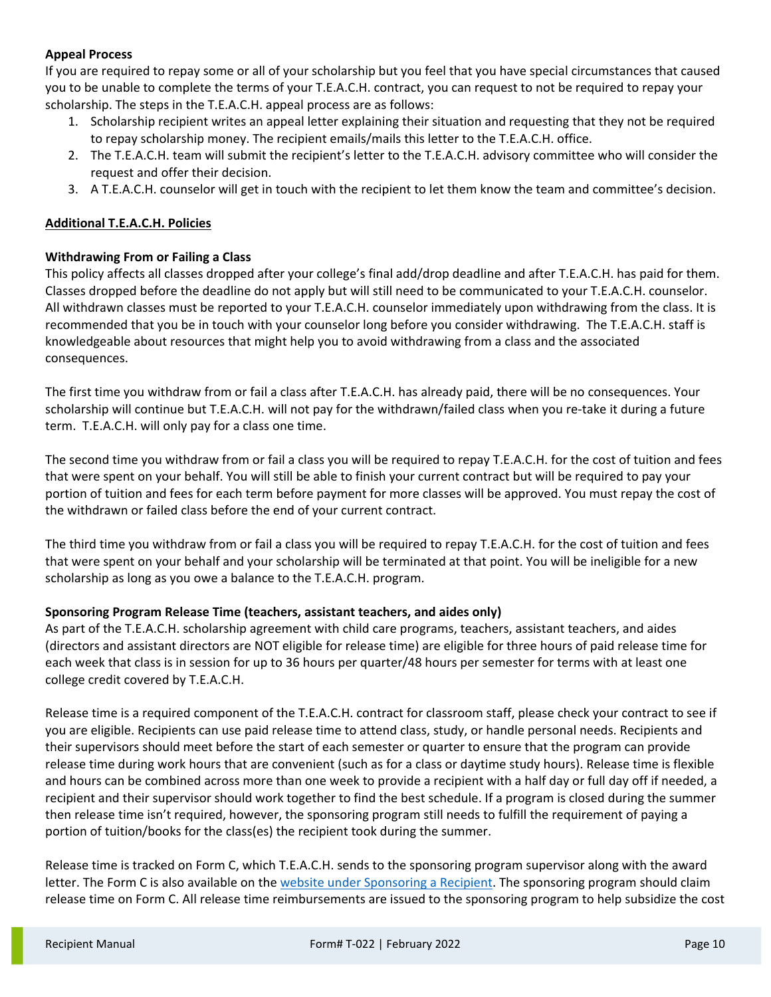# **Appeal Process**

If you are required to repay some or all of your scholarship but you feel that you have special circumstances that caused you to be unable to complete the terms of your T.E.A.C.H. contract, you can request to not be required to repay your scholarship. The steps in the T.E.A.C.H. appeal process are as follows:

- 1. Scholarship recipient writes an appeal letter explaining their situation and requesting that they not be required to repay scholarship money. The recipient emails/mails this letter to the T.E.A.C.H. office.
- 2. The T.E.A.C.H. team will submit the recipient's letter to the T.E.A.C.H. advisory committee who will consider the request and offer their decision.
- 3. A T.E.A.C.H. counselor will get in touch with the recipient to let them know the team and committee's decision.

# **Additional T.E.A.C.H. Policies**

# **Withdrawing From or Failing a Class**

This policy affects all classes dropped after your college's final add/drop deadline and after T.E.A.C.H. has paid for them. Classes dropped before the deadline do not apply but will still need to be communicated to your T.E.A.C.H. counselor. All withdrawn classes must be reported to your T.E.A.C.H. counselor immediately upon withdrawing from the class. It is recommended that you be in touch with your counselor long before you consider withdrawing. The T.E.A.C.H. staff is knowledgeable about resources that might help you to avoid withdrawing from a class and the associated consequences.

The first time you withdraw from or fail a class after T.E.A.C.H. has already paid, there will be no consequences. Your scholarship will continue but T.E.A.C.H. will not pay for the withdrawn/failed class when you re-take it during a future term. T.E.A.C.H. will only pay for a class one time.

The second time you withdraw from or fail a class you will be required to repay T.E.A.C.H. for the cost of tuition and fees that were spent on your behalf. You will still be able to finish your current contract but will be required to pay your portion of tuition and fees for each term before payment for more classes will be approved. You must repay the cost of the withdrawn or failed class before the end of your current contract.

The third time you withdraw from or fail a class you will be required to repay T.E.A.C.H. for the cost of tuition and fees that were spent on your behalf and your scholarship will be terminated at that point. You will be ineligible for a new scholarship as long as you owe a balance to the T.E.A.C.H. program.

# **Sponsoring Program Release Time (teachers, assistant teachers, and aides only)**

As part of the T.E.A.C.H. scholarship agreement with child care programs, teachers, assistant teachers, and aides (directors and assistant directors are NOT eligible for release time) are eligible for three hours of paid release time for each week that class is in session for up to 36 hours per quarter/48 hours per semester for terms with at least one college credit covered by T.E.A.C.H.

Release time is a required component of the T.E.A.C.H. contract for classroom staff, please check your contract to see if you are eligible. Recipients can use paid release time to attend class, study, or handle personal needs. Recipients and their supervisors should meet before the start of each semester or quarter to ensure that the program can provide release time during work hours that are convenient (such as for a class or daytime study hours). Release time is flexible and hours can be combined across more than one week to provide a recipient with a half day or full day off if needed, a recipient and their supervisor should work together to find the best schedule. If a program is closed during the summer then release time isn't required, however, the sponsoring program still needs to fulfill the requirement of paying a portion of tuition/books for the class(es) the recipient took during the summer.

Release time is tracked on Form C, which T.E.A.C.H. sends to the sponsoring program supervisor along with the award letter. The Form C is also available on th[e website under Sponsoring a Recipient.](https://www.childcareawaremn.org/providers/grants-and-scholarships/teach-scholarships/applications-participation-agreements/) The sponsoring program should claim release time on Form C. All release time reimbursements are issued to the sponsoring program to help subsidize the cost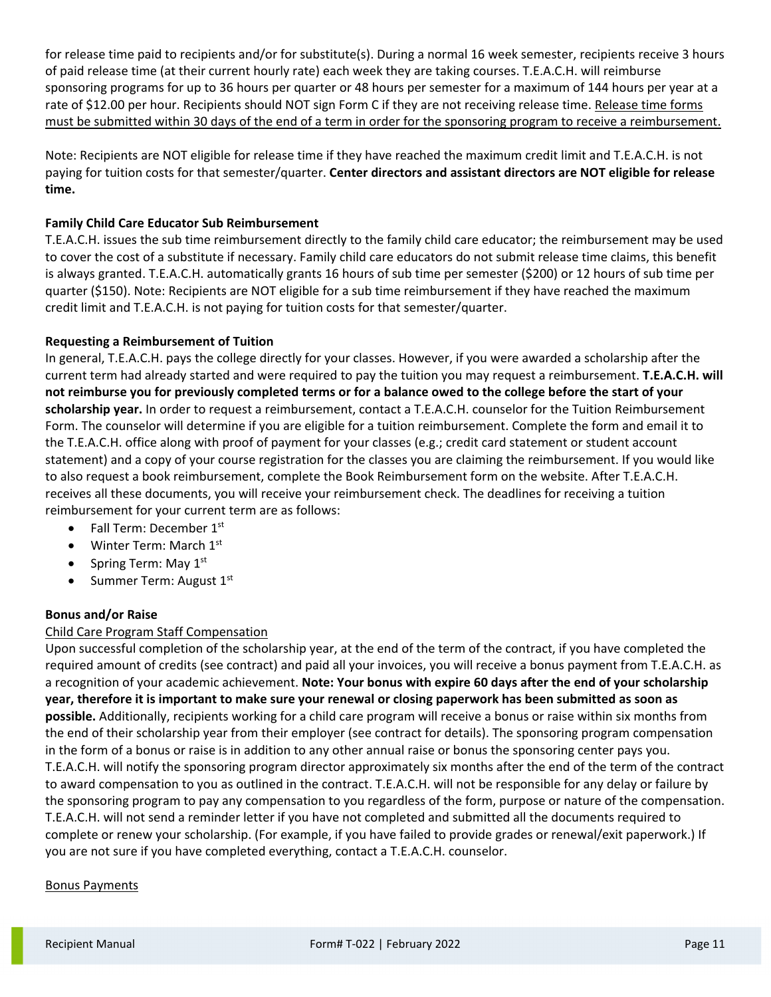for release time paid to recipients and/or for substitute(s). During a normal 16 week semester, recipients receive 3 hours of paid release time (at their current hourly rate) each week they are taking courses. T.E.A.C.H. will reimburse sponsoring programs for up to 36 hours per quarter or 48 hours per semester for a maximum of 144 hours per year at a rate of \$12.00 per hour. Recipients should NOT sign Form C if they are not receiving release time. Release time forms must be submitted within 30 days of the end of a term in order for the sponsoring program to receive a reimbursement.

Note: Recipients are NOT eligible for release time if they have reached the maximum credit limit and T.E.A.C.H. is not paying for tuition costs for that semester/quarter. **Center directors and assistant directors are NOT eligible for release time.**

# **Family Child Care Educator Sub Reimbursement**

T.E.A.C.H. issues the sub time reimbursement directly to the family child care educator; the reimbursement may be used to cover the cost of a substitute if necessary. Family child care educators do not submit release time claims, this benefit is always granted. T.E.A.C.H. automatically grants 16 hours of sub time per semester (\$200) or 12 hours of sub time per quarter (\$150). Note: Recipients are NOT eligible for a sub time reimbursement if they have reached the maximum credit limit and T.E.A.C.H. is not paying for tuition costs for that semester/quarter.

### **Requesting a Reimbursement of Tuition**

In general, T.E.A.C.H. pays the college directly for your classes. However, if you were awarded a scholarship after the current term had already started and were required to pay the tuition you may request a reimbursement. **T.E.A.C.H. will not reimburse you for previously completed terms or for a balance owed to the college before the start of your scholarship year.** In order to request a reimbursement, contact a T.E.A.C.H. counselor for the Tuition Reimbursement Form. The counselor will determine if you are eligible for a tuition reimbursement. Complete the form and email it to the T.E.A.C.H. office along with proof of payment for your classes (e.g.; credit card statement or student account statement) and a copy of your course registration for the classes you are claiming the reimbursement. If you would like to also request a book reimbursement, complete the Book Reimbursement form on the website. After T.E.A.C.H. receives all these documents, you will receive your reimbursement check. The deadlines for receiving a tuition reimbursement for your current term are as follows:

- Fall Term: December  $1<sup>st</sup>$
- Winter Term: March 1st
- Spring Term: May  $1<sup>st</sup>$
- Summer Term: August 1st

### **Bonus and/or Raise**

# Child Care Program Staff Compensation

Upon successful completion of the scholarship year, at the end of the term of the contract, if you have completed the required amount of credits (see contract) and paid all your invoices, you will receive a bonus payment from T.E.A.C.H. as a recognition of your academic achievement. **Note: Your bonus with expire 60 days after the end of your scholarship year, therefore it is important to make sure your renewal or closing paperwork has been submitted as soon as possible.** Additionally, recipients working for a child care program will receive a bonus or raise within six months from the end of their scholarship year from their employer (see contract for details). The sponsoring program compensation in the form of a bonus or raise is in addition to any other annual raise or bonus the sponsoring center pays you. T.E.A.C.H. will notify the sponsoring program director approximately six months after the end of the term of the contract to award compensation to you as outlined in the contract. T.E.A.C.H. will not be responsible for any delay or failure by the sponsoring program to pay any compensation to you regardless of the form, purpose or nature of the compensation. T.E.A.C.H. will not send a reminder letter if you have not completed and submitted all the documents required to complete or renew your scholarship. (For example, if you have failed to provide grades or renewal/exit paperwork.) If you are not sure if you have completed everything, contact a T.E.A.C.H. counselor.

### Bonus Payments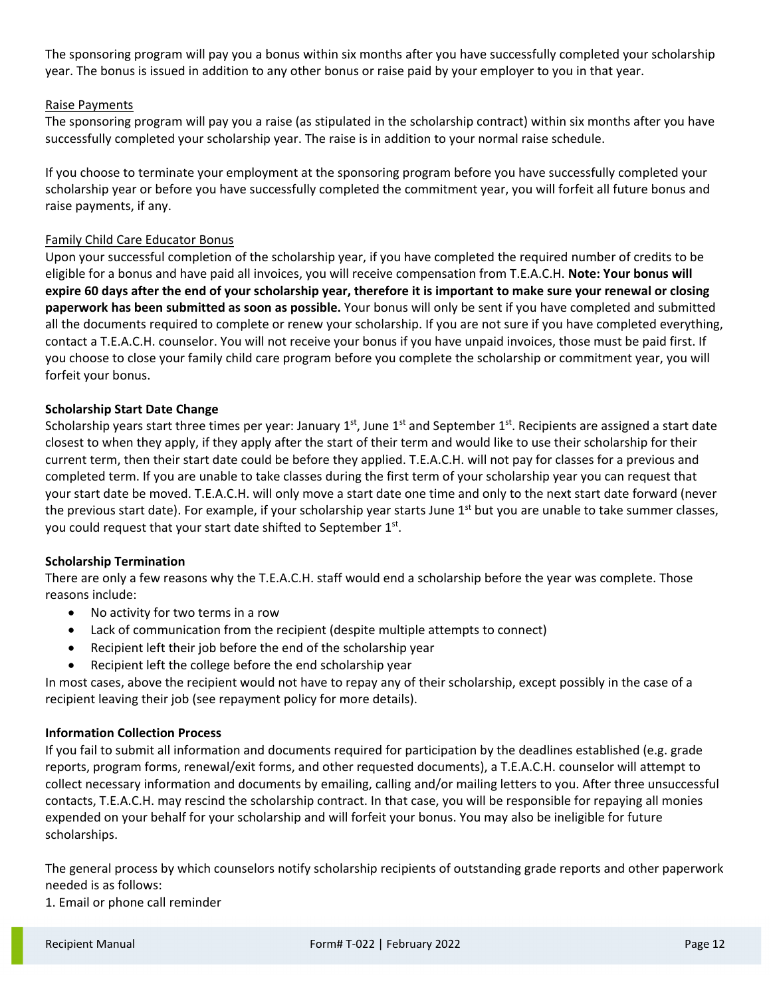The sponsoring program will pay you a bonus within six months after you have successfully completed your scholarship year. The bonus is issued in addition to any other bonus or raise paid by your employer to you in that year.

# Raise Payments

The sponsoring program will pay you a raise (as stipulated in the scholarship contract) within six months after you have successfully completed your scholarship year. The raise is in addition to your normal raise schedule.

If you choose to terminate your employment at the sponsoring program before you have successfully completed your scholarship year or before you have successfully completed the commitment year, you will forfeit all future bonus and raise payments, if any.

# Family Child Care Educator Bonus

Upon your successful completion of the scholarship year, if you have completed the required number of credits to be eligible for a bonus and have paid all invoices, you will receive compensation from T.E.A.C.H. **Note: Your bonus will expire 60 days after the end of your scholarship year, therefore it is important to make sure your renewal or closing paperwork has been submitted as soon as possible.** Your bonus will only be sent if you have completed and submitted all the documents required to complete or renew your scholarship. If you are not sure if you have completed everything, contact a T.E.A.C.H. counselor. You will not receive your bonus if you have unpaid invoices, those must be paid first. If you choose to close your family child care program before you complete the scholarship or commitment year, you will forfeit your bonus.

# **Scholarship Start Date Change**

Scholarship years start three times per year: January  $1^{st}$ , June  $1^{st}$  and September  $1^{st}$ . Recipients are assigned a start date closest to when they apply, if they apply after the start of their term and would like to use their scholarship for their current term, then their start date could be before they applied. T.E.A.C.H. will not pay for classes for a previous and completed term. If you are unable to take classes during the first term of your scholarship year you can request that your start date be moved. T.E.A.C.H. will only move a start date one time and only to the next start date forward (never the previous start date). For example, if your scholarship year starts June 1<sup>st</sup> but you are unable to take summer classes, you could request that your start date shifted to September 1<sup>st</sup>.

### **Scholarship Termination**

There are only a few reasons why the T.E.A.C.H. staff would end a scholarship before the year was complete. Those reasons include:

- No activity for two terms in a row
- Lack of communication from the recipient (despite multiple attempts to connect)
- Recipient left their job before the end of the scholarship year
- Recipient left the college before the end scholarship year

In most cases, above the recipient would not have to repay any of their scholarship, except possibly in the case of a recipient leaving their job (see repayment policy for more details).

### **Information Collection Process**

If you fail to submit all information and documents required for participation by the deadlines established (e.g. grade reports, program forms, renewal/exit forms, and other requested documents), a T.E.A.C.H. counselor will attempt to collect necessary information and documents by emailing, calling and/or mailing letters to you. After three unsuccessful contacts, T.E.A.C.H. may rescind the scholarship contract. In that case, you will be responsible for repaying all monies expended on your behalf for your scholarship and will forfeit your bonus. You may also be ineligible for future scholarships.

The general process by which counselors notify scholarship recipients of outstanding grade reports and other paperwork needed is as follows:

1. Email or phone call reminder